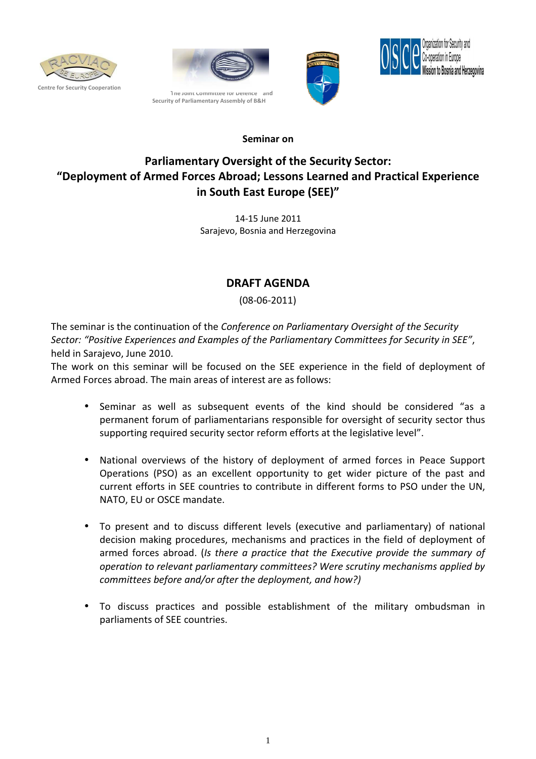







## Seminar on

## Parliamentary Oversight of the Security Sector: "Deployment of Armed Forces Abroad; Lessons Learned and Practical Experience in South East Europe (SEE)"

14-15 June 2011 Sarajevo, Bosnia and Herzegovina

## DRAFT AGENDA

(08-06-2011)

The seminar is the continuation of the Conference on Parliamentary Oversight of the Security Sector: "Positive Experiences and Examples of the Parliamentary Committees for Security in SEE", held in Sarajevo, June 2010.

The work on this seminar will be focused on the SEE experience in the field of deployment of Armed Forces abroad. The main areas of interest are as follows:

- Seminar as well as subsequent events of the kind should be considered "as a permanent forum of parliamentarians responsible for oversight of security sector thus supporting required security sector reform efforts at the legislative level".
- National overviews of the history of deployment of armed forces in Peace Support Operations (PSO) as an excellent opportunity to get wider picture of the past and current efforts in SEE countries to contribute in different forms to PSO under the UN, NATO, EU or OSCE mandate.
- To present and to discuss different levels (executive and parliamentary) of national decision making procedures, mechanisms and practices in the field of deployment of armed forces abroad. (Is there a practice that the Executive provide the summary of operation to relevant parliamentary committees? Were scrutiny mechanisms applied by committees before and/or after the deployment, and how?)
- To discuss practices and possible establishment of the military ombudsman in parliaments of SEE countries.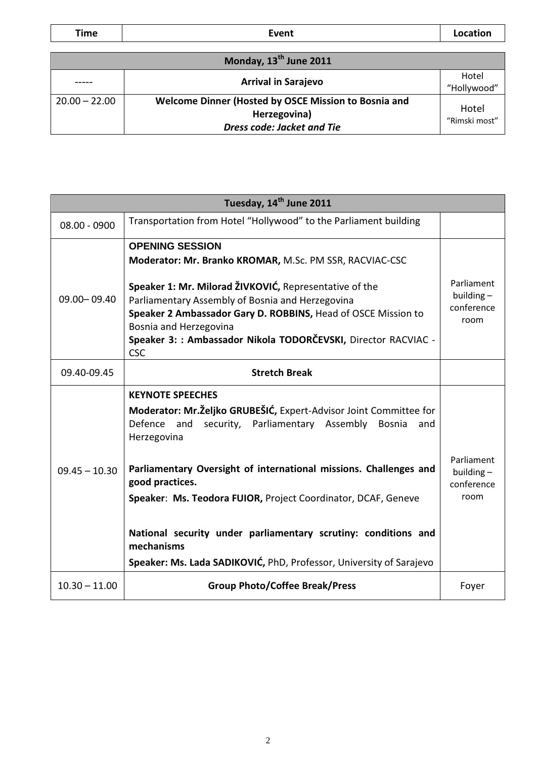Time | Contraction Event Location | Location

| Monday, 13 <sup>th</sup> June 2011 |                                                                                                           |                        |  |  |
|------------------------------------|-----------------------------------------------------------------------------------------------------------|------------------------|--|--|
|                                    | <b>Arrival in Sarajevo</b>                                                                                | Hotel<br>"Hollywood"   |  |  |
| $20.00 - 22.00$                    | Welcome Dinner (Hosted by OSCE Mission to Bosnia and<br>Herzegovina)<br><b>Dress code: Jacket and Tie</b> | Hotel<br>"Rimski most" |  |  |

| Tuesday, 14 <sup>th</sup> June 2011 |                                                                                                                                                                                                                                                                                                                                                                                                                                                                                                         |                                                  |  |  |
|-------------------------------------|---------------------------------------------------------------------------------------------------------------------------------------------------------------------------------------------------------------------------------------------------------------------------------------------------------------------------------------------------------------------------------------------------------------------------------------------------------------------------------------------------------|--------------------------------------------------|--|--|
| 08.00 - 0900                        | Transportation from Hotel "Hollywood" to the Parliament building                                                                                                                                                                                                                                                                                                                                                                                                                                        |                                                  |  |  |
| 09.00 - 09.40                       | <b>OPENING SESSION</b><br>Moderator: Mr. Branko KROMAR, M.Sc. PM SSR, RACVIAC-CSC<br>Speaker 1: Mr. Milorad ŽIVKOVIĆ, Representative of the<br>Parliamentary Assembly of Bosnia and Herzegovina<br>Speaker 2 Ambassador Gary D. ROBBINS, Head of OSCE Mission to<br>Bosnia and Herzegovina<br>Speaker 3: : Ambassador Nikola TODORČEVSKI, Director RACVIAC -<br><b>CSC</b>                                                                                                                              | Parliament<br>building $-$<br>conference<br>room |  |  |
| 09.40-09.45                         | <b>Stretch Break</b>                                                                                                                                                                                                                                                                                                                                                                                                                                                                                    |                                                  |  |  |
| $09.45 - 10.30$                     | <b>KEYNOTE SPEECHES</b><br>Moderator: Mr. Željko GRUBEŠIĆ, Expert-Advisor Joint Committee for<br>Defence and<br>security, Parliamentary Assembly<br><b>Bosnia</b><br>and<br>Herzegovina<br>Parliamentary Oversight of international missions. Challenges and<br>good practices.<br>Speaker: Ms. Teodora FUIOR, Project Coordinator, DCAF, Geneve<br>National security under parliamentary scrutiny: conditions and<br>mechanisms<br>Speaker: Ms. Lada SADIKOVIĆ, PhD, Professor, University of Sarajevo | Parliament<br>building $-$<br>conference<br>room |  |  |
| $10.30 - 11.00$                     | <b>Group Photo/Coffee Break/Press</b>                                                                                                                                                                                                                                                                                                                                                                                                                                                                   | Foyer                                            |  |  |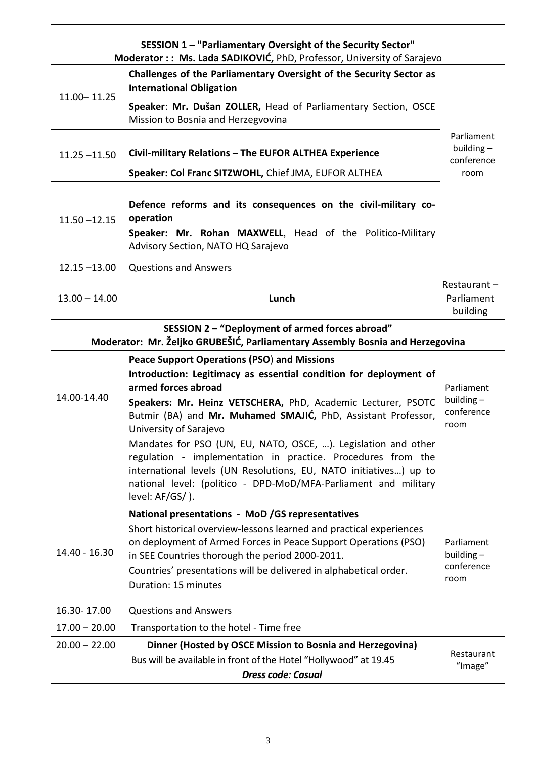| SESSION 1 - "Parliamentary Oversight of the Security Sector"<br>Moderator:: Ms. Lada SADIKOVIĆ, PhD, Professor, University of Sarajevo |                                                                                                                                                                                                                                                                                                                                                                                                                                                                                                                                                                                                        |                                                  |  |  |
|----------------------------------------------------------------------------------------------------------------------------------------|--------------------------------------------------------------------------------------------------------------------------------------------------------------------------------------------------------------------------------------------------------------------------------------------------------------------------------------------------------------------------------------------------------------------------------------------------------------------------------------------------------------------------------------------------------------------------------------------------------|--------------------------------------------------|--|--|
| $11.00 - 11.25$                                                                                                                        | Challenges of the Parliamentary Oversight of the Security Sector as<br><b>International Obligation</b><br>Speaker: Mr. Dušan ZOLLER, Head of Parliamentary Section, OSCE                                                                                                                                                                                                                                                                                                                                                                                                                               |                                                  |  |  |
| $11.25 - 11.50$                                                                                                                        | Mission to Bosnia and Herzegvovina<br>Civil-military Relations - The EUFOR ALTHEA Experience                                                                                                                                                                                                                                                                                                                                                                                                                                                                                                           | Parliament<br>building $-$                       |  |  |
|                                                                                                                                        | Speaker: Col Franc SITZWOHL, Chief JMA, EUFOR ALTHEA                                                                                                                                                                                                                                                                                                                                                                                                                                                                                                                                                   | conference<br>room                               |  |  |
| $11.50 - 12.15$                                                                                                                        | Defence reforms and its consequences on the civil-military co-<br>operation<br>Speaker: Mr. Rohan MAXWELL, Head of the Politico-Military<br>Advisory Section, NATO HQ Sarajevo                                                                                                                                                                                                                                                                                                                                                                                                                         |                                                  |  |  |
| $12.15 - 13.00$                                                                                                                        | <b>Questions and Answers</b>                                                                                                                                                                                                                                                                                                                                                                                                                                                                                                                                                                           |                                                  |  |  |
| $13.00 - 14.00$                                                                                                                        | Lunch                                                                                                                                                                                                                                                                                                                                                                                                                                                                                                                                                                                                  | Restaurant-<br>Parliament<br>building            |  |  |
| SESSION 2 - "Deployment of armed forces abroad"<br>Moderator: Mr. Željko GRUBEŠIĆ, Parliamentary Assembly Bosnia and Herzegovina       |                                                                                                                                                                                                                                                                                                                                                                                                                                                                                                                                                                                                        |                                                  |  |  |
| 14.00-14.40                                                                                                                            | <b>Peace Support Operations (PSO) and Missions</b><br>Introduction: Legitimacy as essential condition for deployment of<br>armed forces abroad<br>Speakers: Mr. Heinz VETSCHERA, PhD, Academic Lecturer, PSOTC<br>Butmir (BA) and Mr. Muhamed SMAJIĆ, PhD, Assistant Professor,<br>University of Sarajevo<br>Mandates for PSO (UN, EU, NATO, OSCE, ). Legislation and other<br>regulation - implementation in practice. Procedures from the<br>international levels (UN Resolutions, EU, NATO initiatives) up to<br>national level: (politico - DPD-MoD/MFA-Parliament and military<br>level: AF/GS/). | Parliament<br>building $-$<br>conference<br>room |  |  |
| 14.40 - 16.30                                                                                                                          | National presentations - MoD / GS representatives<br>Short historical overview-lessons learned and practical experiences<br>on deployment of Armed Forces in Peace Support Operations (PSO)<br>in SEE Countries thorough the period 2000-2011.<br>Countries' presentations will be delivered in alphabetical order.<br>Duration: 15 minutes                                                                                                                                                                                                                                                            | Parliament<br>building $-$<br>conference<br>room |  |  |
| 16.30-17.00                                                                                                                            | <b>Questions and Answers</b>                                                                                                                                                                                                                                                                                                                                                                                                                                                                                                                                                                           |                                                  |  |  |
| $17.00 - 20.00$                                                                                                                        | Transportation to the hotel - Time free                                                                                                                                                                                                                                                                                                                                                                                                                                                                                                                                                                |                                                  |  |  |
| $20.00 - 22.00$                                                                                                                        | Dinner (Hosted by OSCE Mission to Bosnia and Herzegovina)<br>Bus will be available in front of the Hotel "Hollywood" at 19.45<br><b>Dress code: Casual</b>                                                                                                                                                                                                                                                                                                                                                                                                                                             | Restaurant<br>"Image"                            |  |  |